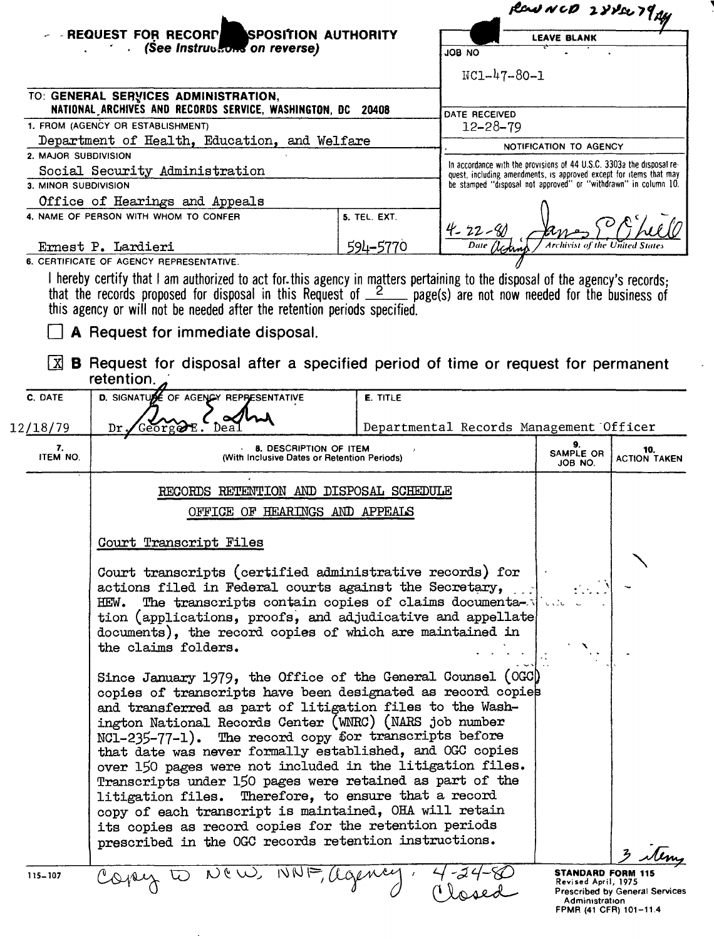|                                                                                                     |                                                                                                                                                                                                                                                                                                                                                                                                                                                                                                                                                                                                                                                                                                                                                                                                                                                                                                                                                                                                                      |                 | Pear NCD 2882279 Ay             |                                                                                                                                       |                                                                 |
|-----------------------------------------------------------------------------------------------------|----------------------------------------------------------------------------------------------------------------------------------------------------------------------------------------------------------------------------------------------------------------------------------------------------------------------------------------------------------------------------------------------------------------------------------------------------------------------------------------------------------------------------------------------------------------------------------------------------------------------------------------------------------------------------------------------------------------------------------------------------------------------------------------------------------------------------------------------------------------------------------------------------------------------------------------------------------------------------------------------------------------------|-----------------|---------------------------------|---------------------------------------------------------------------------------------------------------------------------------------|-----------------------------------------------------------------|
|                                                                                                     | SPOSITION AUTHORITY<br><b>- REQUEST FOR RECORP</b>                                                                                                                                                                                                                                                                                                                                                                                                                                                                                                                                                                                                                                                                                                                                                                                                                                                                                                                                                                   |                 |                                 | <b>LEAVE BLANK</b>                                                                                                                    |                                                                 |
|                                                                                                     | <b>See Instructions on reverse)</b>                                                                                                                                                                                                                                                                                                                                                                                                                                                                                                                                                                                                                                                                                                                                                                                                                                                                                                                                                                                  |                 | ON BOL                          |                                                                                                                                       |                                                                 |
|                                                                                                     |                                                                                                                                                                                                                                                                                                                                                                                                                                                                                                                                                                                                                                                                                                                                                                                                                                                                                                                                                                                                                      |                 | $NC1 - 47 - 80 - 1$             |                                                                                                                                       |                                                                 |
|                                                                                                     | TO: GENERAL SERVICES ADMINISTRATION,                                                                                                                                                                                                                                                                                                                                                                                                                                                                                                                                                                                                                                                                                                                                                                                                                                                                                                                                                                                 |                 |                                 |                                                                                                                                       |                                                                 |
| NATIONAL ARCHIVES AND RECORDS SERVICE, WASHINGTON, DC<br>20408<br>1. FROM (AGENCY OR ESTABLISHMENT) |                                                                                                                                                                                                                                                                                                                                                                                                                                                                                                                                                                                                                                                                                                                                                                                                                                                                                                                                                                                                                      |                 | DATE RECEIVED<br>$12 - 28 - 79$ |                                                                                                                                       |                                                                 |
|                                                                                                     | Department of Health, Education, and Welfare                                                                                                                                                                                                                                                                                                                                                                                                                                                                                                                                                                                                                                                                                                                                                                                                                                                                                                                                                                         |                 |                                 |                                                                                                                                       |                                                                 |
| 2. MAJOR SUBDIVISION                                                                                |                                                                                                                                                                                                                                                                                                                                                                                                                                                                                                                                                                                                                                                                                                                                                                                                                                                                                                                                                                                                                      |                 |                                 | NOTIFICATION TO AGENCY<br>In accordance with the provisions of 44 U.S.C. 3303a the disposal re-                                       |                                                                 |
| 3. MINOR SUBDIVISION                                                                                | Social Security Administration                                                                                                                                                                                                                                                                                                                                                                                                                                                                                                                                                                                                                                                                                                                                                                                                                                                                                                                                                                                       |                 |                                 | quest, including amendments, is approved except for items that may<br>be stamped "disposal not approved" or "withdrawn" in column 10. |                                                                 |
|                                                                                                     | Office of Hearings and Appeals                                                                                                                                                                                                                                                                                                                                                                                                                                                                                                                                                                                                                                                                                                                                                                                                                                                                                                                                                                                       |                 |                                 |                                                                                                                                       |                                                                 |
|                                                                                                     | 4. NAME OF PERSON WITH WHOM TO CONFER                                                                                                                                                                                                                                                                                                                                                                                                                                                                                                                                                                                                                                                                                                                                                                                                                                                                                                                                                                                | 5. TEL. EXT.    |                                 |                                                                                                                                       |                                                                 |
|                                                                                                     |                                                                                                                                                                                                                                                                                                                                                                                                                                                                                                                                                                                                                                                                                                                                                                                                                                                                                                                                                                                                                      |                 | $4 - 22 - 80$                   |                                                                                                                                       |                                                                 |
|                                                                                                     | Ernest P. Lardieri<br>6. CERTIFICATE OF AGENCY REPRESENTATIVE.                                                                                                                                                                                                                                                                                                                                                                                                                                                                                                                                                                                                                                                                                                                                                                                                                                                                                                                                                       | 594-5770        |                                 | Archivist of the United                                                                                                               |                                                                 |
| X                                                                                                   | that the records proposed for disposal in this Request of $\frac{2}{2}$ page(s) are not now needed for the business of<br>this agency or will not be needed after the retention periods specified.<br>A Request for immediate disposal.<br>B Request for disposal after a specified period of time or request for permanent<br>retention.                                                                                                                                                                                                                                                                                                                                                                                                                                                                                                                                                                                                                                                                            |                 |                                 |                                                                                                                                       |                                                                 |
| C. DATE                                                                                             | D. SIGNATURE OF AGENCY REPRESENTATIVE                                                                                                                                                                                                                                                                                                                                                                                                                                                                                                                                                                                                                                                                                                                                                                                                                                                                                                                                                                                | <b>E. TITLE</b> |                                 |                                                                                                                                       |                                                                 |
|                                                                                                     |                                                                                                                                                                                                                                                                                                                                                                                                                                                                                                                                                                                                                                                                                                                                                                                                                                                                                                                                                                                                                      |                 |                                 |                                                                                                                                       |                                                                 |
| 12/18/79                                                                                            | Dr.<br>Georg⊘E                                                                                                                                                                                                                                                                                                                                                                                                                                                                                                                                                                                                                                                                                                                                                                                                                                                                                                                                                                                                       |                 |                                 | Departmental Records Management Officer                                                                                               |                                                                 |
| 7.<br>ITEM NO.                                                                                      | <b>8. DESCRIPTION OF ITEM</b><br>(With Inclusive Dates or Retention Periods)                                                                                                                                                                                                                                                                                                                                                                                                                                                                                                                                                                                                                                                                                                                                                                                                                                                                                                                                         |                 |                                 | 9.<br>SAMPLE OR<br>JOB NO.                                                                                                            | 10.<br><b>ACTION TAKEN</b>                                      |
|                                                                                                     | RECORDS RETENTION AND DISPOSAL SCHEDULE                                                                                                                                                                                                                                                                                                                                                                                                                                                                                                                                                                                                                                                                                                                                                                                                                                                                                                                                                                              |                 |                                 |                                                                                                                                       |                                                                 |
|                                                                                                     | OFFICE OF HEARINGS AND APPEALS                                                                                                                                                                                                                                                                                                                                                                                                                                                                                                                                                                                                                                                                                                                                                                                                                                                                                                                                                                                       |                 |                                 |                                                                                                                                       |                                                                 |
|                                                                                                     | Court Transcript Files                                                                                                                                                                                                                                                                                                                                                                                                                                                                                                                                                                                                                                                                                                                                                                                                                                                                                                                                                                                               |                 |                                 |                                                                                                                                       |                                                                 |
|                                                                                                     | Court transcripts (certified administrative records) for<br>actions filed in Federal courts against the Secretary,<br>The transcripts contain copies of claims documenta-view<br>HEW.<br>tion (applications, proofs, and adjudicative and appellate)<br>documents), the record copies of which are maintained in<br>the claims folders.<br>Since January 1979, the Office of the General Counsel (OGC)<br>copies of transcripts have been designated as record copies<br>and transferred as part of litigation files to the Wash-<br>ington National Records Center (WNRC) (NARS job number<br>NC1-235-77-1). The record copy for transcripts before<br>that date was never formally established, and OGC copies<br>over 150 pages were not included in the litigation files.<br>Transcripts under 150 pages were retained as part of the<br>litigation files. Therefore, to ensure that a record<br>copy of each transcript is maintained, OHA will retain<br>its copies as record copies for the retention periods |                 |                                 |                                                                                                                                       |                                                                 |
| 115-107                                                                                             | prescribed in the OGC records retention instructions.<br>y to New WNF, agence                                                                                                                                                                                                                                                                                                                                                                                                                                                                                                                                                                                                                                                                                                                                                                                                                                                                                                                                        |                 |                                 | <b>STANDARD FORM 115</b><br>Revised April, 1975<br>Administration                                                                     | <b>Prescribed by General Services</b><br>FPMR (41 CFR) 101-11.4 |

 $\overline{\phantom{a}}$ 

 $\mathcal{L}$